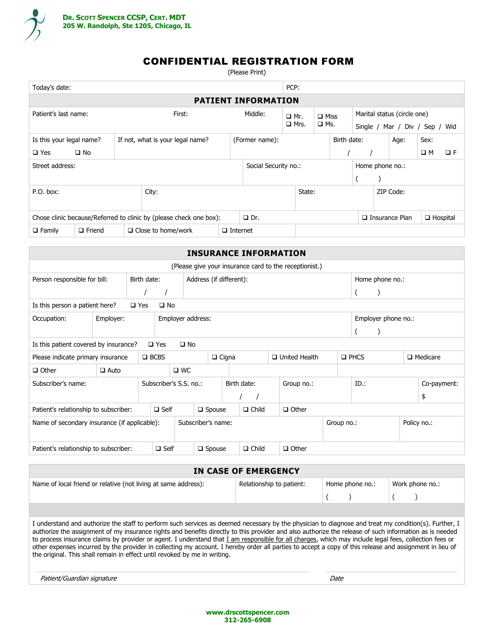

# CONFIDENTIAL REGISTRATION FORM

(Please Print)

| Today's date:                                                      |                                                              |        |                           |                 |                                         | PCP:                      |                                 |  |           |                                                                       |                       |      |                 |          |
|--------------------------------------------------------------------|--------------------------------------------------------------|--------|---------------------------|-----------------|-----------------------------------------|---------------------------|---------------------------------|--|-----------|-----------------------------------------------------------------------|-----------------------|------|-----------------|----------|
|                                                                    | <b>PATIENT INFORMATION</b>                                   |        |                           |                 |                                         |                           |                                 |  |           |                                                                       |                       |      |                 |          |
| Patient's last name:                                               |                                                              | First: |                           |                 | Middle:                                 | $\Box$ Mr.<br>$\Box$ Mrs. | $\square$ Miss<br>$\square$ Ms. |  |           | Marital status (circle one)<br>Single $/$<br>Mar / Div / Sep /<br>Wid |                       |      |                 |          |
|                                                                    | Is this your legal name?<br>If not, what is your legal name? |        |                           | (Former name):  |                                         | Birth date:               |                                 |  |           |                                                                       | Age:                  | Sex: |                 |          |
| $\square$ Yes                                                      | $\square$ No                                                 |        |                           |                 |                                         |                           |                                 |  |           |                                                                       |                       |      | $\square$ M     | $\Box F$ |
| Street address:                                                    |                                                              |        |                           |                 | Social Security no.:<br>Home phone no.: |                           |                                 |  |           |                                                                       |                       |      |                 |          |
|                                                                    |                                                              |        |                           |                 |                                         |                           |                                 |  |           |                                                                       |                       |      |                 |          |
| $P.O.$ box:                                                        |                                                              |        | City:                     |                 | State:                                  |                           |                                 |  | ZIP Code: |                                                                       |                       |      |                 |          |
| Chose clinic because/Referred to clinic by (please check one box): |                                                              |        |                           | $\Box$ Dr.      |                                         |                           |                                 |  |           |                                                                       | $\Box$ Insurance Plan |      | $\Box$ Hospital |          |
| $\Box$ Family                                                      | $\Box$ Friend                                                |        | $\Box$ Close to home/work | $\Box$ Internet |                                         |                           |                                 |  |           |                                                                       |                       |      |                 |          |

|                                                         |                                                                                           |               |                        |              |                                  |              | <b>INSURANCE INFORMATION</b> |  |                                                        |                |         |             |                 |             |
|---------------------------------------------------------|-------------------------------------------------------------------------------------------|---------------|------------------------|--------------|----------------------------------|--------------|------------------------------|--|--------------------------------------------------------|----------------|---------|-------------|-----------------|-------------|
|                                                         |                                                                                           |               |                        |              |                                  |              |                              |  | (Please give your insurance card to the receptionist.) |                |         |             |                 |             |
|                                                         | Birth date:<br>Address (if different):<br>Person responsible for bill:<br>Home phone no.: |               |                        |              |                                  |              |                              |  |                                                        |                |         |             |                 |             |
|                                                         |                                                                                           |               |                        |              |                                  |              |                              |  |                                                        |                |         |             |                 |             |
| Is this person a patient here?                          |                                                                                           | $\square$ Yes | $\square$ No           |              |                                  |              |                              |  |                                                        |                |         |             |                 |             |
| Employer:<br>Occupation:<br>Employer address:           |                                                                                           |               |                        |              |                                  |              |                              |  | Employer phone no.:                                    |                |         |             |                 |             |
|                                                         |                                                                                           |               |                        |              |                                  |              |                              |  |                                                        |                |         |             |                 |             |
| Is this patient covered by insurance?                   |                                                                                           |               | $\square$ Yes          | $\square$ No |                                  |              |                              |  |                                                        |                |         |             |                 |             |
| Please indicate primary insurance                       |                                                                                           |               | $\square$ BCBS         |              |                                  | $\Box$ Cigna |                              |  | $\Box$ United Health                                   | $\square$ PHCS |         |             | $\Box$ Medicare |             |
| $\Box$ Other                                            | $\Box$ Auto                                                                               |               |                        | $\square$ WC |                                  |              |                              |  |                                                        |                |         |             |                 |             |
| Subscriber's name:                                      |                                                                                           |               | Subscriber's S.S. no.: |              |                                  |              | Birth date:                  |  | Group no.:                                             |                | $ID.$ : |             |                 | Co-payment: |
|                                                         |                                                                                           |               |                        |              |                                  |              |                              |  |                                                        |                |         |             |                 | \$          |
| $\square$ Self<br>Patient's relationship to subscriber: |                                                                                           |               |                        |              | $\Box$ Child<br>$\square$ Spouse |              |                              |  | $\Box$ Other                                           |                |         |             |                 |             |
| Name of secondary insurance (if applicable):            |                                                                                           |               |                        |              | Subscriber's name:<br>Group no.: |              |                              |  |                                                        |                |         | Policy no.: |                 |             |
| Patient's relationship to subscriber:                   |                                                                                           |               | $\square$ Self         |              | $\Box$ Spouse                    |              | $\Box$ Child                 |  | $\Box$ Other                                           |                |         |             |                 |             |

| IN CASE OF EMERGENCY                                                                                                                                                                                                                                                                                                                                                                  |                          |  |                 |  |                 |  |  |  |
|---------------------------------------------------------------------------------------------------------------------------------------------------------------------------------------------------------------------------------------------------------------------------------------------------------------------------------------------------------------------------------------|--------------------------|--|-----------------|--|-----------------|--|--|--|
| Name of local friend or relative (not living at same address):                                                                                                                                                                                                                                                                                                                        | Relationship to patient: |  | Home phone no.: |  | Work phone no.: |  |  |  |
|                                                                                                                                                                                                                                                                                                                                                                                       |                          |  |                 |  |                 |  |  |  |
|                                                                                                                                                                                                                                                                                                                                                                                       |                          |  |                 |  |                 |  |  |  |
| I understand and authorize the staff to perform such services as deemed necessary by the physician to diagnose and treat my condition(s). Further, I<br>. The contract of the contract of the contract of the contract of the contract of the contract of the contract of the contract of the contract of the contract of the contract of the contract of the contract of the contrac |                          |  |                 |  |                 |  |  |  |

authorize the assignment of my insurance rights and benefits directly to this provider and also authorize the release of such information as is needed to process insurance claims by provider or agent. I understand that *I am responsible for all charges*, which may include legal fees, collection fees or other expenses incurred by the provider in collecting my account. I hereby order all parties to accept a copy of this release and assignment in lieu of the original. This shall remain in effect until revoked by me in writing.

| Patient/Guardian signature | Date |
|----------------------------|------|
|                            |      |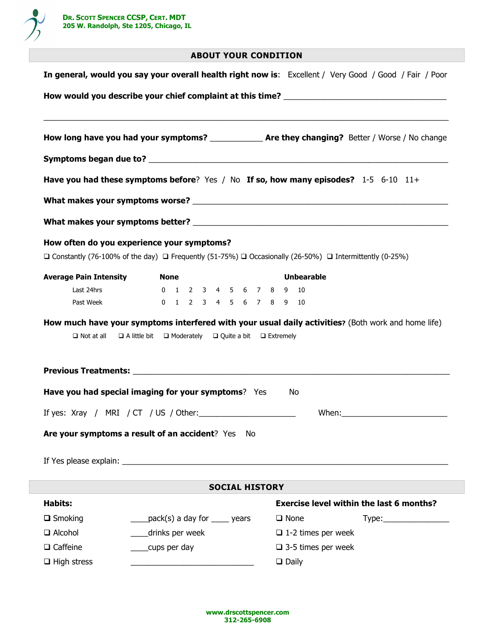

### ABOUT YOUR CONDITION

| In general, would you say your overall health right now is: Excellent / Very Good / Good / Fair / Poor |                                                                                                                                                   |                                                                                                                                                                                                                                  |
|--------------------------------------------------------------------------------------------------------|---------------------------------------------------------------------------------------------------------------------------------------------------|----------------------------------------------------------------------------------------------------------------------------------------------------------------------------------------------------------------------------------|
|                                                                                                        |                                                                                                                                                   | <u> 1989 - Johann Stoff, deutscher Stoff, der Stoff, der Stoff, der Stoff, der Stoff, der Stoff, der Stoff, der S</u><br>How long have you had your symptoms? ____________________ Are they changing? Better / Worse / No change |
|                                                                                                        |                                                                                                                                                   |                                                                                                                                                                                                                                  |
|                                                                                                        |                                                                                                                                                   | Have you had these symptoms before? Yes / No If so, how many episodes? 1-5 6-10 11+                                                                                                                                              |
|                                                                                                        |                                                                                                                                                   |                                                                                                                                                                                                                                  |
|                                                                                                        |                                                                                                                                                   |                                                                                                                                                                                                                                  |
| How often do you experience your symptoms?                                                             |                                                                                                                                                   |                                                                                                                                                                                                                                  |
|                                                                                                        |                                                                                                                                                   | $\Box$ Constantly (76-100% of the day) $\Box$ Frequently (51-75%) $\Box$ Occasionally (26-50%) $\Box$ Intermittently (0-25%)                                                                                                     |
| <b>Average Pain Intensity</b>                                                                          | <b>None</b>                                                                                                                                       | <b>Unbearable</b>                                                                                                                                                                                                                |
|                                                                                                        |                                                                                                                                                   |                                                                                                                                                                                                                                  |
| Last 24hrs                                                                                             | 0 1 2 3 4 5 6 7 8 9 10                                                                                                                            |                                                                                                                                                                                                                                  |
| Past Week<br>$\Box$ Not at all                                                                         | 0 1 2 3 4 5 6 7 8 9 10<br>$\Box$ A little bit $\Box$ Moderately $\Box$ Quite a bit $\Box$ Extremely                                               | How much have your symptoms interfered with your usual daily activities? (Both work and home life)                                                                                                                               |
|                                                                                                        | Have you had special imaging for your symptoms? Yes<br>If yes: Xray / MRI / CT / US / Other:<br>Are your symptoms a result of an accident? Yes No | No.                                                                                                                                                                                                                              |
|                                                                                                        |                                                                                                                                                   |                                                                                                                                                                                                                                  |
|                                                                                                        | <b>SOCIAL HISTORY</b>                                                                                                                             |                                                                                                                                                                                                                                  |
| <b>Habits:</b>                                                                                         |                                                                                                                                                   | <b>Exercise level within the last 6 months?</b>                                                                                                                                                                                  |
|                                                                                                        | $\frac{1}{2}$ pack(s) a day for $\frac{1}{2}$ years                                                                                               | $\Box$ None                                                                                                                                                                                                                      |
|                                                                                                        | __drinks per week                                                                                                                                 | $\Box$ 1-2 times per week                                                                                                                                                                                                        |
| $\Box$ Smoking<br>$\Box$ Alcohol<br>$\Box$ Caffeine                                                    | cups per day                                                                                                                                      | $\Box$ 3-5 times per week                                                                                                                                                                                                        |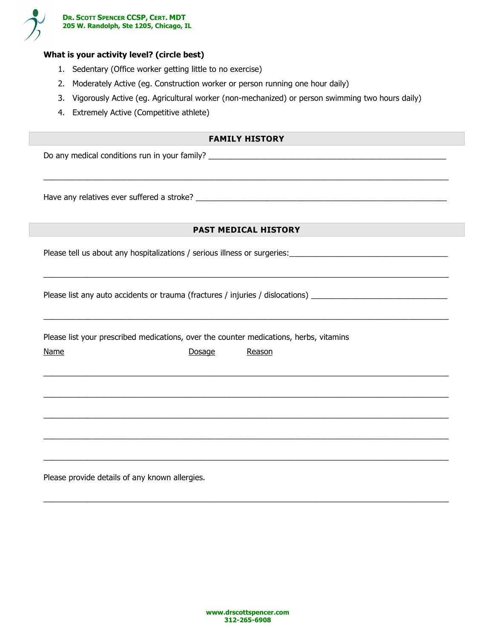

### What is your activity level? (circle best)

- 1. Sedentary (Office worker getting little to no exercise)
- 2. Moderately Active (eg. Construction worker or person running one hour daily)
- 3. Vigorously Active (eg. Agricultural worker (non-mechanized) or person swimming two hours daily)
- 4. Extremely Active (Competitive athlete)

### FAMILY HISTORY

 $\_$  ,  $\_$  ,  $\_$  ,  $\_$  ,  $\_$  ,  $\_$  ,  $\_$  ,  $\_$  ,  $\_$  ,  $\_$  ,  $\_$  ,  $\_$  ,  $\_$  ,  $\_$  ,  $\_$  ,  $\_$  ,  $\_$  ,  $\_$  ,  $\_$  ,  $\_$  ,  $\_$  ,  $\_$  ,  $\_$  ,  $\_$  ,  $\_$  ,  $\_$  ,  $\_$  ,  $\_$  ,  $\_$  ,  $\_$  ,  $\_$  ,  $\_$  ,  $\_$  ,  $\_$  ,  $\_$  ,  $\_$  ,  $\_$  ,

Do any medical conditions run in your family?

Have any relatives ever suffered a stroke? \_\_\_\_\_\_\_\_\_\_\_\_\_\_\_\_\_\_\_\_\_\_\_\_\_\_\_\_\_\_\_\_\_\_\_\_\_\_\_\_\_\_\_\_\_\_\_\_\_\_\_\_\_\_\_\_\_

### PAST MEDICAL HISTORY

 $\overline{\phantom{a}}$  , and the contribution of the contribution of the contribution of the contribution of the contribution of the contribution of the contribution of the contribution of the contribution of the contribution of the

Please tell us about any hospitalizations / serious illness or surgeries:\_\_\_\_\_\_\_\_\_\_\_\_\_\_\_\_\_\_\_\_\_\_\_\_\_\_\_\_\_\_\_\_\_\_\_\_

Please list any auto accidents or trauma (fractures / injuries / dislocations) \_\_\_\_\_\_\_\_\_\_\_\_\_\_\_\_\_\_\_\_\_\_\_\_\_\_\_\_\_\_\_

| Please list your prescribed medications, over the counter medications, herbs, vitamins |        |        |  |  |  |  |  |  |
|----------------------------------------------------------------------------------------|--------|--------|--|--|--|--|--|--|
| <b>Name</b>                                                                            | Dosage | Reason |  |  |  |  |  |  |
|                                                                                        |        |        |  |  |  |  |  |  |
|                                                                                        |        |        |  |  |  |  |  |  |
|                                                                                        |        |        |  |  |  |  |  |  |
|                                                                                        |        |        |  |  |  |  |  |  |
|                                                                                        |        |        |  |  |  |  |  |  |
|                                                                                        |        |        |  |  |  |  |  |  |

 $\_$  ,  $\_$  ,  $\_$  ,  $\_$  ,  $\_$  ,  $\_$  ,  $\_$  ,  $\_$  ,  $\_$  ,  $\_$  ,  $\_$  ,  $\_$  ,  $\_$  ,  $\_$  ,  $\_$  ,  $\_$  ,  $\_$  ,  $\_$  ,  $\_$  ,  $\_$  ,  $\_$  ,  $\_$  ,  $\_$  ,  $\_$  ,  $\_$  ,  $\_$  ,  $\_$  ,  $\_$  ,  $\_$  ,  $\_$  ,  $\_$  ,  $\_$  ,  $\_$  ,  $\_$  ,  $\_$  ,  $\_$  ,  $\_$  ,

Please provide details of any known allergies.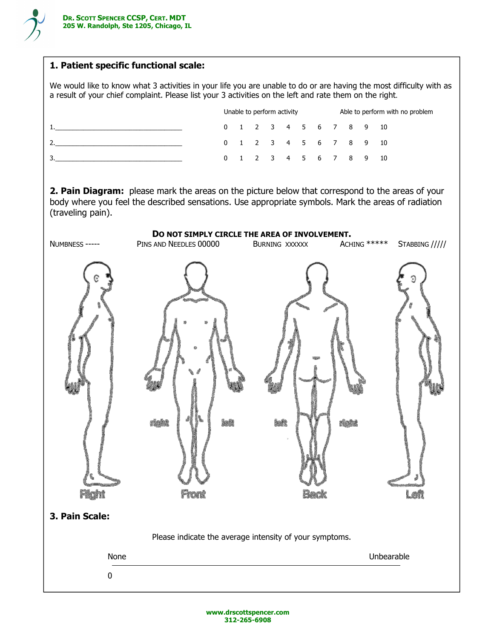

## 1. Patient specific functional scale:

We would like to know what 3 activities in your life you are unable to do or are having the most difficulty with as a result of your chief complaint. Please list your 3 activities on the left and rate them on the right.

|  |  | Unable to perform activity |                        | Able to perform with no problem |  |  |  |  |
|--|--|----------------------------|------------------------|---------------------------------|--|--|--|--|
|  |  |                            | 0 1 2 3 4 5 6 7 8 9 10 |                                 |  |  |  |  |
|  |  |                            | 0 1 2 3 4 5 6 7 8 9 10 |                                 |  |  |  |  |
|  |  |                            | 0 1 2 3 4 5 6 7 8 9 10 |                                 |  |  |  |  |

2. Pain Diagram: please mark the areas on the picture below that correspond to the areas of your body where you feel the described sensations. Use appropriate symbols. Mark the areas of radiation (traveling pain).